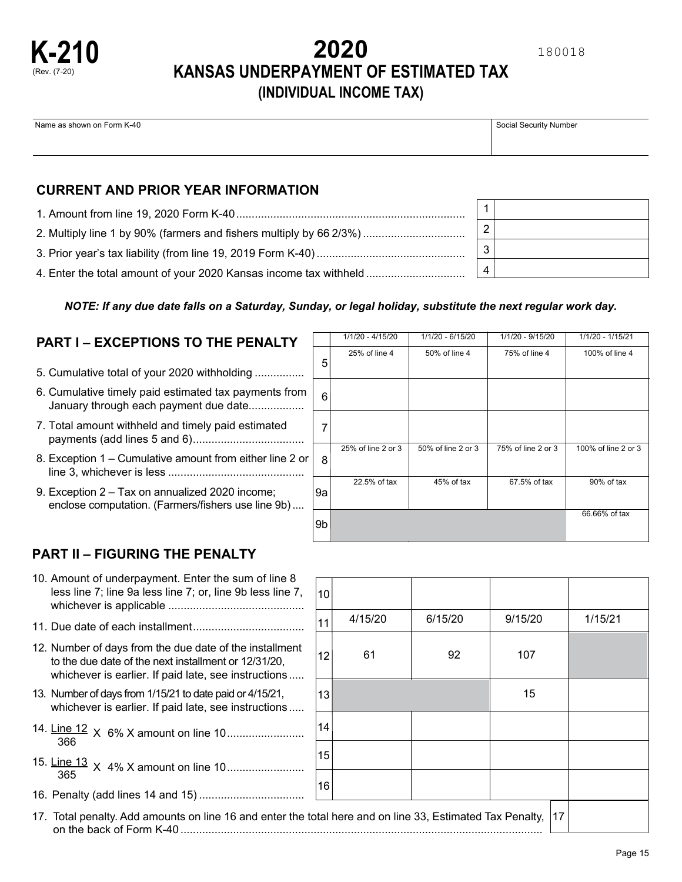

# **2020 KANSAS UNDERPAYMENT OF ESTIMATED TAX (INDIVIDUAL INCOME TAX)**

Name as shown on Form K-40 Social Security Number

## **CURRENT AND PRIOR YEAR INFORMATION**

| 2. Multiply line 1 by 90% (farmers and fishers multiply by 66 2/3%) |
|---------------------------------------------------------------------|
|                                                                     |
| 4. Enter the total amount of your 2020 Kansas income tax withheld   |

|  | NOTE: If any due date falls on a Saturday, Sunday, or legal holiday, substitute the next regular work day. |  |  |
|--|------------------------------------------------------------------------------------------------------------|--|--|

10

# **PART I – EXCEPTIONS TO THE PENALTY**

- 5. Cumulative total of your 2020 withholding ................
- 6. Cumulative timely paid estimated tax payments from January through each payment due date..................
- 7. Total amount withheld and timely paid estimated payments (add lines 5 and 6)....................................
- 8. Exception 1 Cumulative amount from either line 2 or line 3, whichever is less ............................................
- 9. Exception 2 Tax on annualized 2020 income; enclose computation. (Farmers/fishers use line 9b)....

| 5  | 25% of line 4      | 50% of line 4      | 75% of line 4      | 100% of line 4      |
|----|--------------------|--------------------|--------------------|---------------------|
| 6  |                    |                    |                    |                     |
| 7  |                    |                    |                    |                     |
| 8  | 25% of line 2 or 3 | 50% of line 2 or 3 | 75% of line 2 or 3 | 100% of line 2 or 3 |
| 9а | 22.5% of tax       | 45% of tax         | 67.5% of tax       | 90% of tax          |
| 9b |                    |                    |                    | 66.66% of tax       |

1/1/20 - 4/15/20 1/1/20 - 6/15/20 1/1/20 - 9/15/20 1/1/20 - 1/15/21

4/15/20 6/15/20 9/15/20 1/15/21

## **PART II – FIGURING THE PENALTY**

| 10. Amount of underpayment. Enter the sum of line 8        |  |
|------------------------------------------------------------|--|
| less line 7; line 9a less line 7; or, line 9b less line 7, |  |
|                                                            |  |
|                                                            |  |

- 11. Due date of each installment....................................
- 12. Number of days from the due date of the installm to the due date of the next installment or 12/31/20, whichever is earlier. If paid late, see instructions
- 13. Number of days from 1/15/21 to date paid or 4/15/21, whichever is earlier. If paid late, see instructions
- 14. Line 12 <sup>X</sup> 6% X amount on line 10......................... <sup>366</sup>
- 15. Line 13 <sup>X</sup> 4% X amount on line 10......................... <sup>365</sup>
- 16. Penalty (add lines 14 and 15) ..................................

|                                                                                                                                                                         | 11              | 4/13/20 | <b>0/13/20</b> | 9/15/20 | 17 I 31 Z T |
|-------------------------------------------------------------------------------------------------------------------------------------------------------------------------|-----------------|---------|----------------|---------|-------------|
| 12. Number of days from the due date of the installment<br>to the due date of the next installment or 12/31/20,<br>whichever is earlier. If paid late, see instructions | 12              | 61      | 92             | 107     |             |
| 13. Number of days from 1/15/21 to date paid or 4/15/21,<br>whichever is earlier. If paid late, see instructions                                                        | 13 <sub>l</sub> |         |                | 15      |             |
| 366                                                                                                                                                                     | 14              |         |                |         |             |
|                                                                                                                                                                         | 15              |         |                |         |             |
|                                                                                                                                                                         | 16              |         |                |         |             |
| 17. Total penalty. Add amounts on line 16 and enter the total here and on line 33, Estimated Tax Penalty,<br>17                                                         |                 |         |                |         |             |

| 2 |  |
|---|--|
| 3 |  |
|   |  |

180018